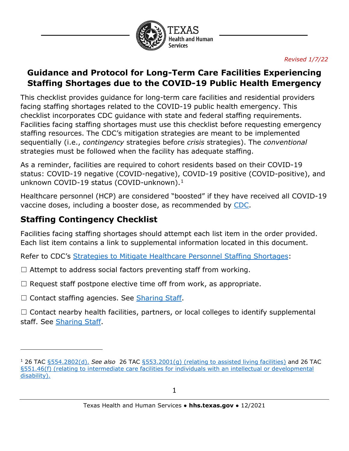

### **Guidance and Protocol for Long-Term Care Facilities Experiencing Staffing Shortages due to the COVID-19 Public Health Emergency**

This checklist provides guidance for long-term care facilities and residential providers facing staffing shortages related to the COVID-19 public health emergency. This checklist incorporates CDC guidance with state and federal staffing requirements. Facilities facing staffing shortages must use this checklist before requesting emergency staffing resources. The CDC's mitigation strategies are meant to be implemented sequentially (i.e., *contingency* strategies before *crisis* strategies). The *conventional* strategies must be followed when the facility has adequate staffing.

As a reminder, facilities are required to cohort residents based on their COVID-19 status: COVID-19 negative (COVID-negative), COVID-19 positive (COVID-positive), and unknown COVID-[1](#page-0-0)9 status (COVID-unknown).<sup>1</sup>

Healthcare personnel (HCP) are considered "boosted" if they have received all COVID-19 vaccine doses, including a booster dose, as recommended by [CDC.](https://www.cdc.gov/vaccines/covid-19/clinical-considerations/covid-19-vaccines-us.html)

# <span id="page-0-1"></span>**Staffing Contingency Checklist**

Facilities facing staffing shortages should attempt each list item in the order provided. Each list item contains a link to supplemental information located in this document.

Refer to CDC's [Strategies to Mitigate Healthcare Personnel Staffing Shortages:](https://www.cdc.gov/coronavirus/2019-ncov/hcp/mitigating-staff-shortages.html?ACSTrackingID=USCDC_511-DM72621&ACSTrackingLabel=HAN%20460-%20COCA%20Subscribers&deliveryName=USCDC_511-DM72621)

- $\Box$  Attempt to address social factors preventing staff from working.
- $\Box$  Request staff postpone elective time off from work, as appropriate.
- $\Box$  Contact staffing agencies. See [Sharing](#page-1-0) Staff.

 $\Box$  Contact nearby health facilities, partners, or local colleges to identify supplemental staff. See [Sharing Staff.](#page-1-0)

<span id="page-0-0"></span><sup>1</sup> 26 TAC [§554.2802\(d\).](https://hhs.texas.gov/sites/default/files/documents/doing-business-with-hhs/provider-portal/long-term-care/nf/nursing-facility-covid-19-response-emergency-rule.pdf) *See also* 26 TAC [§553.2001\(g\)](https://hhs.texas.gov/sites/default/files/documents/doing-business-with-hhs/provider-portal/long-term-care/alf-covid-19-response-emergency-rule.pdf) (relating to assisted living facilities) and 26 TAC [§551.46\(f\)](https://hhs.texas.gov/sites/default/files/documents/doing-business-with-hhs/providers/long-term-care/icf/icf-covid-19-response-emergency-rule.pdf) (relating to intermediate care facilities for individuals with an intellectual or developmental disability).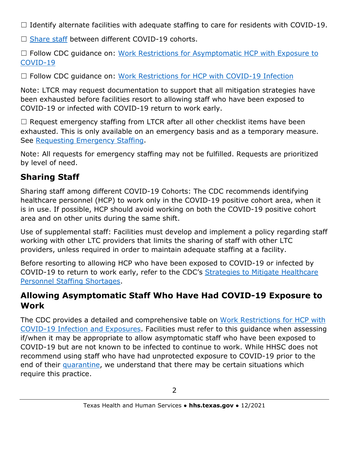$\Box$  Identify alternate facilities with adequate staffing to care for residents with COVID-19.

□ [Share staff](#page-1-0) between different COVID-19 cohorts.

□ Follow CDC guidance on: Work Restrictions for Asymptomatic HCP with Exposure to [COVID-19](https://www.cdc.gov/coronavirus/2019-ncov/hcp/guidance-risk-assesment-hcp.html?CDC_AA_refVal=https%3A%2F%2Fwww.cdc.gov%2Fcoronavirus%2F2019-ncov%2Fhcp%2Freturn-to-work.html)

□ Follow CDC quidance on: [Work Restrictions for HCP with COVID-19 Infection](https://www.cdc.gov/coronavirus/2019-ncov/hcp/guidance-risk-assesment-hcp.html?CDC_AA_refVal=https%3A%2F%2Fwww.cdc.gov%2Fcoronavirus%2F2019-ncov%2Fhcp%2Freturn-to-work.html)

Note: LTCR may request documentation to support that all mitigation strategies have been exhausted before facilities resort to allowing staff who have been exposed to COVID-19 or infected with COVID-19 return to work early.

 $\Box$  [Request](#page-2-0) emergency staffing from LTCR after all other checklist items have been exhausted. This is only available on an emergency basis and as a temporary measure. See [Requesting Emergency Staffing.](#page-2-1)

Note: All requests for emergency staffing may not be fulfilled. Requests are prioritized by level of need.

# <span id="page-1-0"></span>**Sharing Staff**

Sharing staff among different COVID-19 Cohorts: The CDC recommends identifying healthcare personnel (HCP) to work only in the COVID-19 positive cohort area, when it is in use. If possible, HCP should avoid working on both the COVID-19 positive cohort area and on other units during the same shift.

Use of supplemental staff: Facilities must develop and implement a policy regarding staff working with other LTC providers that limits the sharing of staff with other LTC providers, unless required in order to maintain adequate staffing at a facility.

Before resorting to allowing HCP who have been exposed to COVID-19 or infected by COVID-19 to return to work early, refer to the CDC's [Strategies to Mitigate Healthcare](https://www.cdc.gov/coronavirus/2019-ncov/hcp/mitigating-staff-shortages.html)  [Personnel Staffing Shortages.](https://www.cdc.gov/coronavirus/2019-ncov/hcp/mitigating-staff-shortages.html)

### **Allowing Asymptomatic Staff Who Have Had COVID-19 Exposure to Work**

The CDC provides a detailed and comprehensive table on [Work Restrictions for HCP with](https://www.cdc.gov/coronavirus/2019-ncov/hcp/guidance-risk-assesment-hcp.html?CDC_AA_refVal=https%3A%2F%2Fwww.cdc.gov%2Fcoronavirus%2F2019-ncov%2Fhcp%2Freturn-to-work.html)  [COVID-19 Infection and Exposures.](https://www.cdc.gov/coronavirus/2019-ncov/hcp/guidance-risk-assesment-hcp.html?CDC_AA_refVal=https%3A%2F%2Fwww.cdc.gov%2Fcoronavirus%2F2019-ncov%2Fhcp%2Freturn-to-work.html) Facilities must refer to this guidance when assessing if/when it may be appropriate to allow asymptomatic staff who have been exposed to COVID-19 but are not known to be infected to continue to work. While HHSC does not recommend using staff who have had unprotected exposure to COVID-19 prior to the end of their [quarantine,](https://www.cdc.gov/coronavirus/2019-ncov/your-health/quarantine-isolation.html?CDC_AA_refVal=https%3A%2F%2Fwww.cdc.gov%2Fcoronavirus%2F2019-ncov%2Fif-you-are-sick%2Fquarantine.html) we understand that there may be certain situations which require this practice.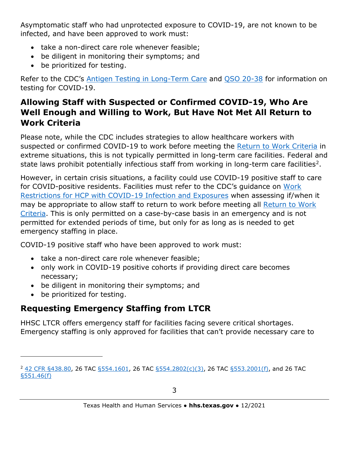Asymptomatic staff who had unprotected exposure to COVID-19, are not known to be infected, and have been approved to work must:

- take a non-direct care role whenever feasible;
- be diligent in monitoring their symptoms; and
- be prioritized for testing.

Refer to the CDC's [Antigen Testing in Long-Term Care](https://www.cdc.gov/coronavirus/2019-ncov/hcp/nursing-homes-antigen-testing.html) and [QSO 20-38](https://www.cms.gov/files/document/qso-20-38-nh-revised.pdf) for information on testing for COVID-19.

### <span id="page-2-0"></span>**Allowing Staff with Suspected or Confirmed COVID-19, Who Are Well Enough and Willing to Work, But Have Not Met All Return to Work Criteria**

Please note, while the CDC includes strategies to allow healthcare workers with suspected or confirmed COVID-19 to work before meeting the [Return to Work Criteria](https://www.cdc.gov/coronavirus/2019-ncov/hcp/return-to-work.html) in extreme situations, this is not typically permitted in long-term care facilities. Federal and state laws prohibit potentially infectious staff from working in long-term care facilities<sup>2</sup>.

However, in certain crisis situations, a facility could use COVID-19 positive staff to care for COVID-positive residents. Facilities must refer to the CDC's guidance on [Work](https://www.cdc.gov/coronavirus/2019-ncov/hcp/guidance-risk-assesment-hcp.html?CDC_AA_refVal=https%3A%2F%2Fwww.cdc.gov%2Fcoronavirus%2F2019-ncov%2Fhcp%2Freturn-to-work.html)  [Restrictions for HCP with COVID-19 Infection and Exposures](https://www.cdc.gov/coronavirus/2019-ncov/hcp/guidance-risk-assesment-hcp.html?CDC_AA_refVal=https%3A%2F%2Fwww.cdc.gov%2Fcoronavirus%2F2019-ncov%2Fhcp%2Freturn-to-work.html) when assessing if/when it may be appropriate to allow staff to return to work before meeting all [Return to Work](https://www.cdc.gov/coronavirus/2019-ncov/hcp/return-to-work.html)  [Criteria.](https://www.cdc.gov/coronavirus/2019-ncov/hcp/return-to-work.html) This is only permitted on a case-by-case basis in an emergency and is not permitted for extended periods of time, but only for as long as is needed to get emergency staffing in place.

COVID-19 positive staff who have been approved to work must:

- take a non-direct care role whenever feasible;
- only work in COVID-19 positive cohorts if providing direct care becomes necessary;
- be diligent in monitoring their symptoms; and
- be prioritized for testing.

# <span id="page-2-1"></span>**Requesting Emergency Staffing from LTCR**

HHSC LTCR offers emergency staff for facilities facing severe critical shortages. Emergency staffing is only approved for facilities that can't provide necessary care to

<span id="page-2-2"></span><sup>&</sup>lt;sup>2</sup> [42 CFR §438.80,](https://www.cms.gov/Medicare/Provider-Enrollment-and-Certification/GuidanceforLawsAndRegulations/Downloads/Appendix-PP-State-Operations-Manual.pdf) 26 TAC [§554.1601,](https://texreg.sos.state.tx.us/public/readtac$ext.TacPage?sl=R&app=9&p_dir=&p_rloc=&p_tloc=&p_ploc=&pg=1&p_tac=&ti=26&pt=1&ch=554&rl=1601) 26 TAC [§554.2802\(c\)\(3\),](https://hhs.texas.gov/sites/default/files/documents/doing-business-with-hhs/provider-portal/long-term-care/nf/nursing-facility-covid-19-response-emergency-rule.pdf) 26 TAC [§553.2001\(f\),](https://hhs.texas.gov/sites/default/files/documents/doing-business-with-hhs/provider-portal/long-term-care/alf-covid-19-response-emergency-rule.pdf) and 26 TAC [§551.46\(f\)](https://hhs.texas.gov/sites/default/files/documents/doing-business-with-hhs/providers/long-term-care/icf/icf-covid-19-response-emergency-rule.pdf)